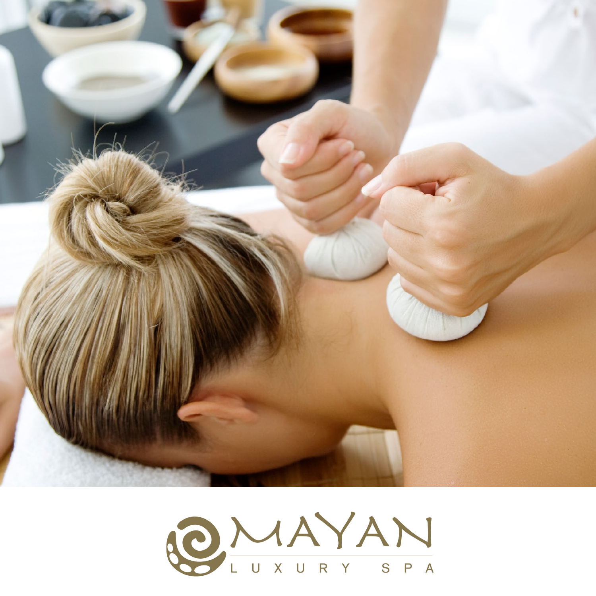

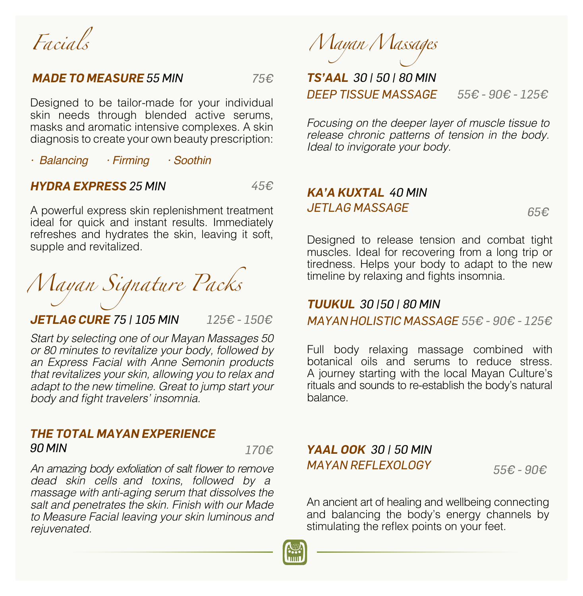*Facials*

#### *MADE TO MEASURE 55 MIN 75€*

Designed to be tailor-made for your individual skin needs through blended active serums, masks and aromatic intensive complexes. A skin diagnosis to create your own beauty prescription:

*· Balancing · Firming · Soothin*

### *HYDRA EXPRESS 25 MIN 45€*

A powerful express skin replenishment treatment ideal for quick and instant results. Immediately refreshes and hydrates the skin, leaving it soft, supple and revitalized.

*Mayan Signature Packs*

*JETLAG CURE 75 | 105 MIN 125€ - 150€*

*Start by selecting one of our Mayan Massages 50*  or 80 minutes to revitalize your body, followed by an Express Facial with Anne Semonin products that revitalizes your skin, allowing you to relax and adapt to the new timeline. Great to jump start your body and fight travelers' insomnia.

# *THE TOTAL MAYAN EXPERIENCE 90 MIN 170€*

An amazing body exfoliation of salt flower to remove dead skin cells and toxins, followed by a massage with anti-aging serum that dissolves the salt and penetrates the skin. Finish with our Made *to Measure Facial leaving your skin luminous and rejuvenated.*

*Mayan Massages*

# *TS'AAL 30 | 50 | 80 MIN DEEP TISSUE MASSAGE 55€ - 90€ - 125€*

*Focusing on the deeper layer of muscle tissue to release chronic patterns of tension in the body. Ideal to invigorate your body.*

# *KA'A KUXTAL 40 MIN JETLAG MASSAGE 65€*

Designed to release tension and combat tight muscles. Ideal for recovering from a long trip or tiredness. Helps your body to adapt to the new timeline by relaxing and fights insomnia.

### *TUUKUL 30 |50 | 80 MIN*

*MAYAN HOLISTIC MASSAGE 55€ - 90€ - 125€*

Full body relaxing massage combined with botanical oils and serums to reduce stress. A journey starting with the local Mayan Culture's rituals and sounds to re-establish the body's natural balance.

# *YAAL OOK 30 | 50 MIN MAYAN REFLEXOLOGY 55€ - 90€*

An ancient art of healing and wellbeing connecting and balancing the body's energy channels by stimulating the reflex points on your feet.

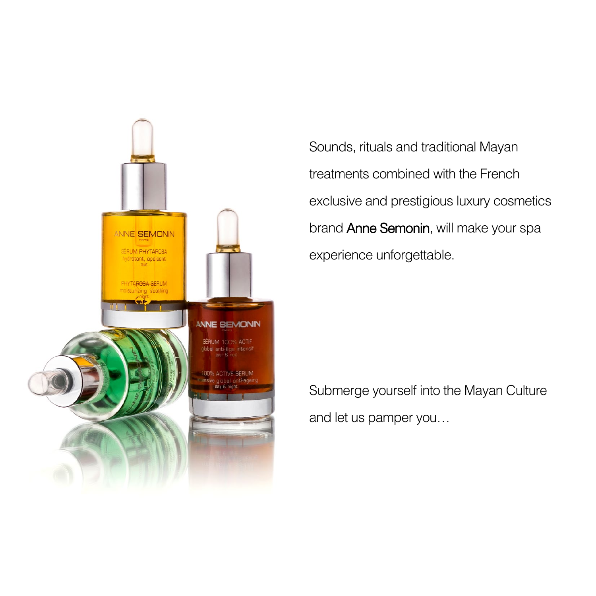

Sounds, rituals and traditional Mayan treatments combined with the French exclusive and prestigious luxury cosmetics brand Anne Semonin, will make your spa experience unforgettable.

Submerge yourself into the Mayan Culture and let us pamper you…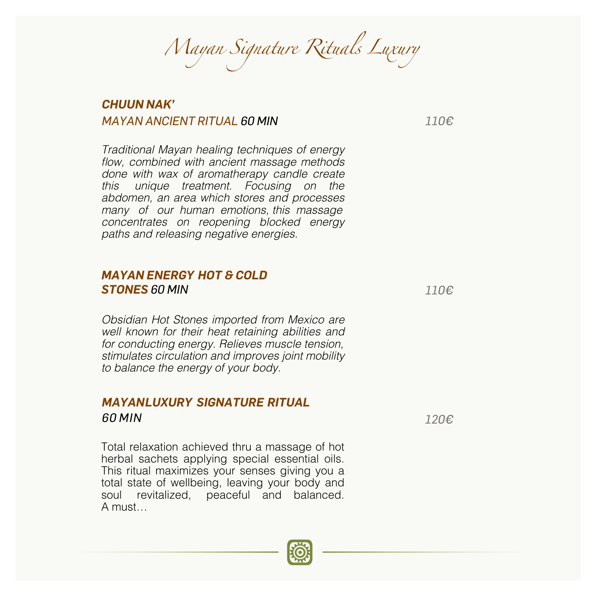*Mayan Signature Rituals Luxury*

### *CHUUN NAK' MAYAN ANCIENT RITUAL 60 MIN 110€*

*Traditional Mayan healing techniques of energy*  flow, combined with ancient massage methods done with wax of aromatherapy candle create *this unique treatment. Focusing on the*  abdomen, an area which stores and processes many of our human emotions this massage *concentrates on reopening blocked energy paths and releasing negative energies.*

#### *MAYAN ENERGY HOT & COLD STONES 60 MIN 110€*

Obsidian Hot Stones imported from Mexico are well known for their heat retaining abilities and for conducting energy. Relieves muscle tension, *stimulates circulation and improves joint mobility to balance the energy of your body.*

# **MAYANLUXURY SIGNATURE RITUAL** *60 MIN 120€*

Total relaxation achieved thru a massage of hot herbal sachets applying special essential oils. This ritual maximizes your senses giving you a total state of wellbeing, leaving your body and soul revitalized, peaceful and balanced. A must…